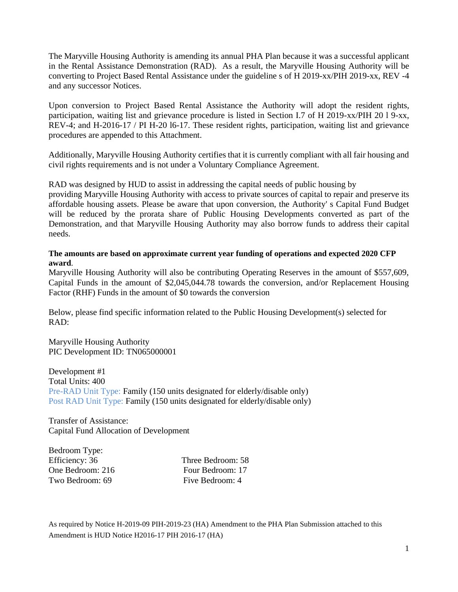The Maryville Housing Authority is amending its annual PHA Plan because it was a successful applicant in the Rental Assistance Demonstration (RAD). As a result, the Maryville Housing Authority will be converting to Project Based Rental Assistance under the guideline s of H 2019-xx/PIH 2019-xx, REV -4 and any successor Notices.

Upon conversion to Project Based Rental Assistance the Authority will adopt the resident rights, participation, waiting list and grievance procedure is listed in Section I.7 of H 2019-xx/PIH 20 l 9-xx, REV-4; and H-2016-17 / PI H-20 l6-17. These resident rights, participation, waiting list and grievance procedures are appended to this Attachment.

Additionally, Maryville Housing Authority certifies that it is currently compliant with all fair housing and civil rights requirements and is not under a Voluntary Compliance Agreement.

RAD was designed by HUD to assist in addressing the capital needs of public housing by

providing Maryville Housing Authority with access to private sources of capital to repair and preserve its affordable housing assets. Please be aware that upon conversion, the Authority' s Capital Fund Budget will be reduced by the prorata share of Public Housing Developments converted as part of the Demonstration, and that Maryville Housing Authority may also borrow funds to address their capital needs.

#### **The amounts are based on approximate current year funding of operations and expected 2020 CFP award**.

Maryville Housing Authority will also be contributing Operating Reserves in the amount of \$557,609, Capital Funds in the amount of \$2,045,044.78 towards the conversion, and/or Replacement Housing Factor (RHF) Funds in the amount of \$0 towards the conversion

Below, please find specific information related to the Public Housing Development(s) selected for RAD:

Maryville Housing Authority PIC Development ID: TN065000001

Development #1 Total Units: 400 Pre-RAD Unit Type: Family (150 units designated for elderly/disable only) Post RAD Unit Type: Family (150 units designated for elderly/disable only)

Transfer of Assistance: Capital Fund Allocation of Development

Bedroom Type:

Efficiency: 36 Three Bedroom: 58 One Bedroom: 216 Four Bedroom: 17 Two Bedroom: 69 Five Bedroom: 4

As required by Notice H-2019-09 PIH-2019-23 (HA) Amendment to the PHA Plan Submission attached to this Amendment is HUD Notice H2016-17 PIH 2016-17 (HA)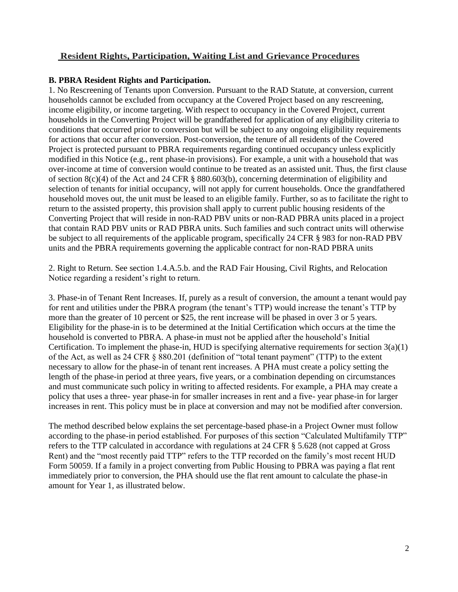## **Resident Rights, Participation, Waiting List and Grievance Procedures**

#### **B. PBRA Resident Rights and Participation.**

1. No Rescreening of Tenants upon Conversion. Pursuant to the RAD Statute, at conversion, current households cannot be excluded from occupancy at the Covered Project based on any rescreening, income eligibility, or income targeting. With respect to occupancy in the Covered Project, current households in the Converting Project will be grandfathered for application of any eligibility criteria to conditions that occurred prior to conversion but will be subject to any ongoing eligibility requirements for actions that occur after conversion. Post-conversion, the tenure of all residents of the Covered Project is protected pursuant to PBRA requirements regarding continued occupancy unless explicitly modified in this Notice (e.g., rent phase-in provisions). For example, a unit with a household that was over-income at time of conversion would continue to be treated as an assisted unit. Thus, the first clause of section 8(c)(4) of the Act and 24 CFR § 880.603(b), concerning determination of eligibility and selection of tenants for initial occupancy, will not apply for current households. Once the grandfathered household moves out, the unit must be leased to an eligible family. Further, so as to facilitate the right to return to the assisted property, this provision shall apply to current public housing residents of the Converting Project that will reside in non-RAD PBV units or non-RAD PBRA units placed in a project that contain RAD PBV units or RAD PBRA units. Such families and such contract units will otherwise be subject to all requirements of the applicable program, specifically 24 CFR § 983 for non-RAD PBV units and the PBRA requirements governing the applicable contract for non-RAD PBRA units

2. Right to Return. See section 1.4.A.5.b. and the RAD Fair Housing, Civil Rights, and Relocation Notice regarding a resident's right to return.

3. Phase-in of Tenant Rent Increases. If, purely as a result of conversion, the amount a tenant would pay for rent and utilities under the PBRA program (the tenant's TTP) would increase the tenant's TTP by more than the greater of 10 percent or \$25, the rent increase will be phased in over 3 or 5 years. Eligibility for the phase-in is to be determined at the Initial Certification which occurs at the time the household is converted to PBRA. A phase-in must not be applied after the household's Initial Certification. To implement the phase-in, HUD is specifying alternative requirements for section 3(a)(1) of the Act, as well as 24 CFR § 880.201 (definition of "total tenant payment" (TTP) to the extent necessary to allow for the phase-in of tenant rent increases. A PHA must create a policy setting the length of the phase-in period at three years, five years, or a combination depending on circumstances and must communicate such policy in writing to affected residents. For example, a PHA may create a policy that uses a three- year phase-in for smaller increases in rent and a five- year phase-in for larger increases in rent. This policy must be in place at conversion and may not be modified after conversion.

The method described below explains the set percentage-based phase-in a Project Owner must follow according to the phase-in period established. For purposes of this section "Calculated Multifamily TTP" refers to the TTP calculated in accordance with regulations at 24 CFR § 5.628 (not capped at Gross Rent) and the "most recently paid TTP" refers to the TTP recorded on the family's most recent HUD Form 50059. If a family in a project converting from Public Housing to PBRA was paying a flat rent immediately prior to conversion, the PHA should use the flat rent amount to calculate the phase-in amount for Year 1, as illustrated below.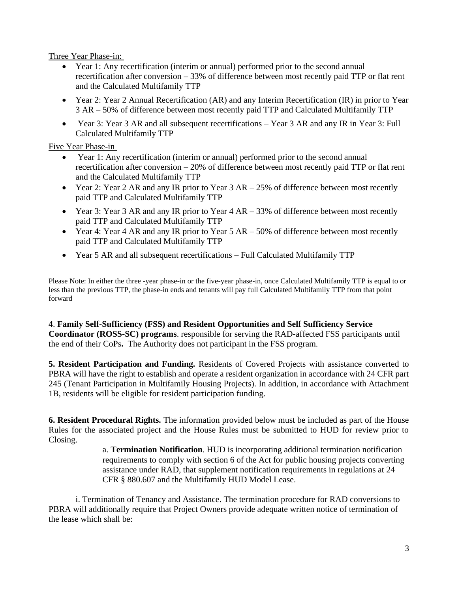Three Year Phase-in:

- Year 1: Any recertification (interim or annual) performed prior to the second annual recertification after conversion – 33% of difference between most recently paid TTP or flat rent and the Calculated Multifamily TTP
- Year 2: Year 2 Annual Recertification (AR) and any Interim Recertification (IR) in prior to Year 3 AR – 50% of difference between most recently paid TTP and Calculated Multifamily TTP
- Year 3: Year 3 AR and all subsequent recertifications Year 3 AR and any IR in Year 3: Full Calculated Multifamily TTP

Five Year Phase-in

- Year 1: Any recertification (interim or annual) performed prior to the second annual recertification after conversion – 20% of difference between most recently paid TTP or flat rent and the Calculated Multifamily TTP
- Year 2: Year 2 AR and any IR prior to Year 3 AR 25% of difference between most recently paid TTP and Calculated Multifamily TTP
- Year 3: Year 3 AR and any IR prior to Year 4 AR 33% of difference between most recently paid TTP and Calculated Multifamily TTP
- Year 4: Year 4 AR and any IR prior to Year 5 AR 50% of difference between most recently paid TTP and Calculated Multifamily TTP
- Year 5 AR and all subsequent recertifications Full Calculated Multifamily TTP

Please Note: In either the three -year phase-in or the five-year phase-in, once Calculated Multifamily TTP is equal to or less than the previous TTP, the phase-in ends and tenants will pay full Calculated Multifamily TTP from that point forward

**4**. **Family Self-Sufficiency (FSS) and Resident Opportunities and Self Sufficiency Service Coordinator (ROSS-SC) programs**. responsible for serving the RAD-affected FSS participants until the end of their CoPs**.** The Authority does not participant in the FSS program.

**5. Resident Participation and Funding.** Residents of Covered Projects with assistance converted to PBRA will have the right to establish and operate a resident organization in accordance with 24 CFR part 245 (Tenant Participation in Multifamily Housing Projects). In addition, in accordance with Attachment 1B, residents will be eligible for resident participation funding.

**6. Resident Procedural Rights.** The information provided below must be included as part of the House Rules for the associated project and the House Rules must be submitted to HUD for review prior to Closing.

> a. **Termination Notification**. HUD is incorporating additional termination notification requirements to comply with section 6 of the Act for public housing projects converting assistance under RAD, that supplement notification requirements in regulations at 24 CFR § 880.607 and the Multifamily HUD Model Lease.

i. Termination of Tenancy and Assistance. The termination procedure for RAD conversions to PBRA will additionally require that Project Owners provide adequate written notice of termination of the lease which shall be: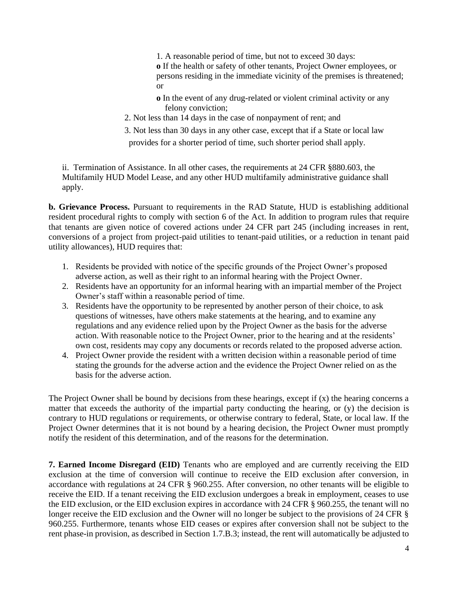1. A reasonable period of time, but not to exceed 30 days: **o** If the health or safety of other tenants, Project Owner employees, or persons residing in the immediate vicinity of the premises is threatened; or

- **o** In the event of any drug-related or violent criminal activity or any felony conviction;
- 2. Not less than 14 days in the case of nonpayment of rent; and

3. Not less than 30 days in any other case, except that if a State or local law

provides for a shorter period of time, such shorter period shall apply.

ii. Termination of Assistance. In all other cases, the requirements at 24 CFR §880.603, the Multifamily HUD Model Lease, and any other HUD multifamily administrative guidance shall apply.

**b. Grievance Process.** Pursuant to requirements in the RAD Statute, HUD is establishing additional resident procedural rights to comply with section 6 of the Act. In addition to program rules that require that tenants are given notice of covered actions under 24 CFR part 245 (including increases in rent, conversions of a project from project-paid utilities to tenant-paid utilities, or a reduction in tenant paid utility allowances), HUD requires that:

- 1. Residents be provided with notice of the specific grounds of the Project Owner's proposed adverse action, as well as their right to an informal hearing with the Project Owner.
- 2. Residents have an opportunity for an informal hearing with an impartial member of the Project Owner's staff within a reasonable period of time.
- 3. Residents have the opportunity to be represented by another person of their choice, to ask questions of witnesses, have others make statements at the hearing, and to examine any regulations and any evidence relied upon by the Project Owner as the basis for the adverse action. With reasonable notice to the Project Owner, prior to the hearing and at the residents' own cost, residents may copy any documents or records related to the proposed adverse action.
- 4. Project Owner provide the resident with a written decision within a reasonable period of time stating the grounds for the adverse action and the evidence the Project Owner relied on as the basis for the adverse action.

The Project Owner shall be bound by decisions from these hearings, except if (x) the hearing concerns a matter that exceeds the authority of the impartial party conducting the hearing, or (y) the decision is contrary to HUD regulations or requirements, or otherwise contrary to federal, State, or local law. If the Project Owner determines that it is not bound by a hearing decision, the Project Owner must promptly notify the resident of this determination, and of the reasons for the determination.

**7. Earned Income Disregard (EID)** Tenants who are employed and are currently receiving the EID exclusion at the time of conversion will continue to receive the EID exclusion after conversion, in accordance with regulations at 24 CFR § 960.255. After conversion, no other tenants will be eligible to receive the EID. If a tenant receiving the EID exclusion undergoes a break in employment, ceases to use the EID exclusion, or the EID exclusion expires in accordance with 24 CFR § 960.255, the tenant will no longer receive the EID exclusion and the Owner will no longer be subject to the provisions of 24 CFR § 960.255. Furthermore, tenants whose EID ceases or expires after conversion shall not be subject to the rent phase-in provision, as described in Section 1.7.B.3; instead, the rent will automatically be adjusted to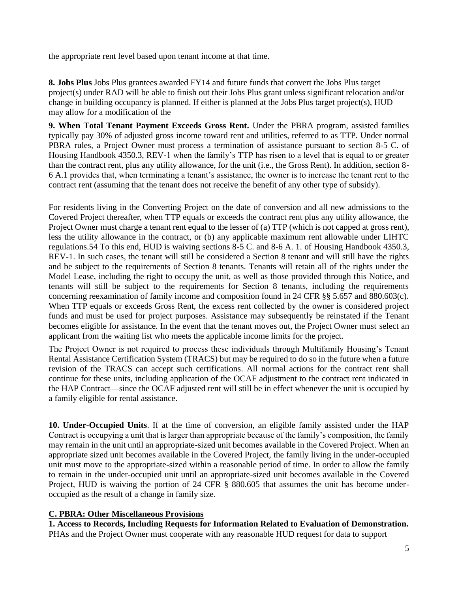the appropriate rent level based upon tenant income at that time.

**8. Jobs Plus** Jobs Plus grantees awarded FY14 and future funds that convert the Jobs Plus target project(s) under RAD will be able to finish out their Jobs Plus grant unless significant relocation and/or change in building occupancy is planned. If either is planned at the Jobs Plus target project(s), HUD may allow for a modification of the

**9. When Total Tenant Payment Exceeds Gross Rent.** Under the PBRA program, assisted families typically pay 30% of adjusted gross income toward rent and utilities, referred to as TTP. Under normal PBRA rules, a Project Owner must process a termination of assistance pursuant to section 8-5 C. of Housing Handbook 4350.3, REV-1 when the family's TTP has risen to a level that is equal to or greater than the contract rent, plus any utility allowance, for the unit (i.e., the Gross Rent). In addition, section 8- 6 A.1 provides that, when terminating a tenant's assistance, the owner is to increase the tenant rent to the contract rent (assuming that the tenant does not receive the benefit of any other type of subsidy).

For residents living in the Converting Project on the date of conversion and all new admissions to the Covered Project thereafter, when TTP equals or exceeds the contract rent plus any utility allowance, the Project Owner must charge a tenant rent equal to the lesser of (a) TTP (which is not capped at gross rent), less the utility allowance in the contract, or (b) any applicable maximum rent allowable under LIHTC regulations.54 To this end, HUD is waiving sections 8-5 C. and 8-6 A. 1. of Housing Handbook 4350.3, REV-1. In such cases, the tenant will still be considered a Section 8 tenant and will still have the rights and be subject to the requirements of Section 8 tenants. Tenants will retain all of the rights under the Model Lease, including the right to occupy the unit, as well as those provided through this Notice, and tenants will still be subject to the requirements for Section 8 tenants, including the requirements concerning reexamination of family income and composition found in 24 CFR §§ 5.657 and 880.603(c). When TTP equals or exceeds Gross Rent, the excess rent collected by the owner is considered project funds and must be used for project purposes. Assistance may subsequently be reinstated if the Tenant becomes eligible for assistance. In the event that the tenant moves out, the Project Owner must select an applicant from the waiting list who meets the applicable income limits for the project.

The Project Owner is not required to process these individuals through Multifamily Housing's Tenant Rental Assistance Certification System (TRACS) but may be required to do so in the future when a future revision of the TRACS can accept such certifications. All normal actions for the contract rent shall continue for these units, including application of the OCAF adjustment to the contract rent indicated in the HAP Contract—since the OCAF adjusted rent will still be in effect whenever the unit is occupied by a family eligible for rental assistance.

**10. Under-Occupied Units**. If at the time of conversion, an eligible family assisted under the HAP Contract is occupying a unit that is larger than appropriate because of the family's composition, the family may remain in the unit until an appropriate-sized unit becomes available in the Covered Project. When an appropriate sized unit becomes available in the Covered Project, the family living in the under-occupied unit must move to the appropriate-sized within a reasonable period of time. In order to allow the family to remain in the under-occupied unit until an appropriate-sized unit becomes available in the Covered Project, HUD is waiving the portion of 24 CFR § 880.605 that assumes the unit has become underoccupied as the result of a change in family size.

#### **C. PBRA: Other Miscellaneous Provisions**

**1. Access to Records, Including Requests for Information Related to Evaluation of Demonstration.**  PHAs and the Project Owner must cooperate with any reasonable HUD request for data to support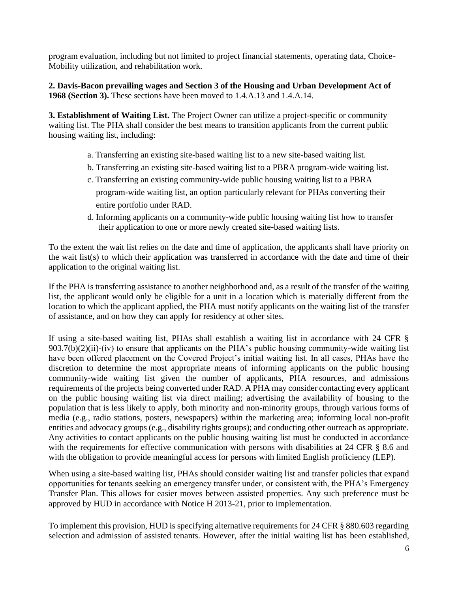program evaluation, including but not limited to project financial statements, operating data, Choice-Mobility utilization, and rehabilitation work.

**2. Davis-Bacon prevailing wages and Section 3 of the Housing and Urban Development Act of 1968 (Section 3).** These sections have been moved to 1.4.A.13 and 1.4.A.14.

**3. Establishment of Waiting List.** The Project Owner can utilize a project-specific or community waiting list. The PHA shall consider the best means to transition applicants from the current public housing waiting list, including:

- a. Transferring an existing site-based waiting list to a new site-based waiting list.
- b. Transferring an existing site-based waiting list to a PBRA program-wide waiting list.
- c. Transferring an existing community-wide public housing waiting list to a PBRA program-wide waiting list, an option particularly relevant for PHAs converting their entire portfolio under RAD.
- d. Informing applicants on a community-wide public housing waiting list how to transfer their application to one or more newly created site-based waiting lists.

To the extent the wait list relies on the date and time of application, the applicants shall have priority on the wait list(s) to which their application was transferred in accordance with the date and time of their application to the original waiting list.

If the PHA is transferring assistance to another neighborhood and, as a result of the transfer of the waiting list, the applicant would only be eligible for a unit in a location which is materially different from the location to which the applicant applied, the PHA must notify applicants on the waiting list of the transfer of assistance, and on how they can apply for residency at other sites.

If using a site-based waiting list, PHAs shall establish a waiting list in accordance with 24 CFR §  $903.7(b)(2)(ii)$ -(iv) to ensure that applicants on the PHA's public housing community-wide waiting list have been offered placement on the Covered Project's initial waiting list. In all cases, PHAs have the discretion to determine the most appropriate means of informing applicants on the public housing community-wide waiting list given the number of applicants, PHA resources, and admissions requirements of the projects being converted under RAD. A PHA may consider contacting every applicant on the public housing waiting list via direct mailing; advertising the availability of housing to the population that is less likely to apply, both minority and non-minority groups, through various forms of media (e.g., radio stations, posters, newspapers) within the marketing area; informing local non-profit entities and advocacy groups (e.g., disability rights groups); and conducting other outreach as appropriate. Any activities to contact applicants on the public housing waiting list must be conducted in accordance with the requirements for effective communication with persons with disabilities at 24 CFR § 8.6 and with the obligation to provide meaningful access for persons with limited English proficiency (LEP).

When using a site-based waiting list, PHAs should consider waiting list and transfer policies that expand opportunities for tenants seeking an emergency transfer under, or consistent with, the PHA's Emergency Transfer Plan. This allows for easier moves between assisted properties. Any such preference must be approved by HUD in accordance with Notice H 2013-21, prior to implementation.

To implement this provision, HUD is specifying alternative requirements for 24 CFR § 880.603 regarding selection and admission of assisted tenants. However, after the initial waiting list has been established,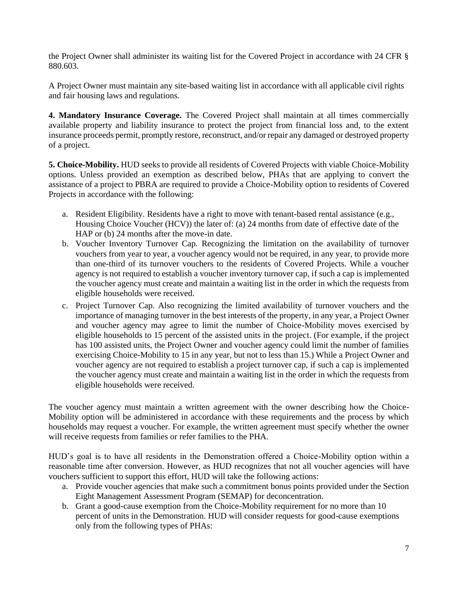the Project Owner shall administer its waiting list for the Covered Project in accordance with 24 CFR § 880.603.

A Project Owner must maintain any site-based waiting list in accordance with all applicable civil rights and fair housing laws and regulations.

**4. Mandatory Insurance Coverage.** The Covered Project shall maintain at all times commercially available property and liability insurance to protect the project from financial loss and, to the extent insurance proceeds permit, promptly restore, reconstruct, and/or repair any damaged or destroyed property of a project.

**5. Choice-Mobility.** HUD seeks to provide all residents of Covered Projects with viable Choice-Mobility options. Unless provided an exemption as described below, PHAs that are applying to convert the assistance of a project to PBRA are required to provide a Choice-Mobility option to residents of Covered Projects in accordance with the following:

- a. Resident Eligibility. Residents have a right to move with tenant-based rental assistance (e.g., Housing Choice Voucher (HCV)) the later of: (a) 24 months from date of effective date of the HAP or (b) 24 months after the move-in date.
- b. Voucher Inventory Turnover Cap*.* Recognizing the limitation on the availability of turnover vouchers from year to year, a voucher agency would not be required, in any year, to provide more than one-third of its turnover vouchers to the residents of Covered Projects. While a voucher agency is not required to establish a voucher inventory turnover cap, if such a cap is implemented the voucher agency must create and maintain a waiting list in the order in which the requests from eligible households were received.
- c. Project Turnover Cap*.* Also recognizing the limited availability of turnover vouchers and the importance of managing turnover in the best interests of the property, in any year, a Project Owner and voucher agency may agree to limit the number of Choice-Mobility moves exercised by eligible households to 15 percent of the assisted units in the project. (For example, if the project has 100 assisted units, the Project Owner and voucher agency could limit the number of families exercising Choice-Mobility to 15 in any year, but not to less than 15.) While a Project Owner and voucher agency are not required to establish a project turnover cap, if such a cap is implemented the voucher agency must create and maintain a waiting list in the order in which the requests from eligible households were received.

The voucher agency must maintain a written agreement with the owner describing how the Choice-Mobility option will be administered in accordance with these requirements and the process by which households may request a voucher. For example, the written agreement must specify whether the owner will receive requests from families or refer families to the PHA.

HUD's goal is to have all residents in the Demonstration offered a Choice-Mobility option within a reasonable time after conversion. However, as HUD recognizes that not all voucher agencies will have vouchers sufficient to support this effort, HUD will take the following actions:

- a. Provide voucher agencies that make such a commitment bonus points provided under the Section Eight Management Assessment Program (SEMAP) for deconcentration.
- b. Grant a good-cause exemption from the Choice-Mobility requirement for no more than 10 percent of units in the Demonstration. HUD will consider requests for good-cause exemptions only from the following types of PHAs: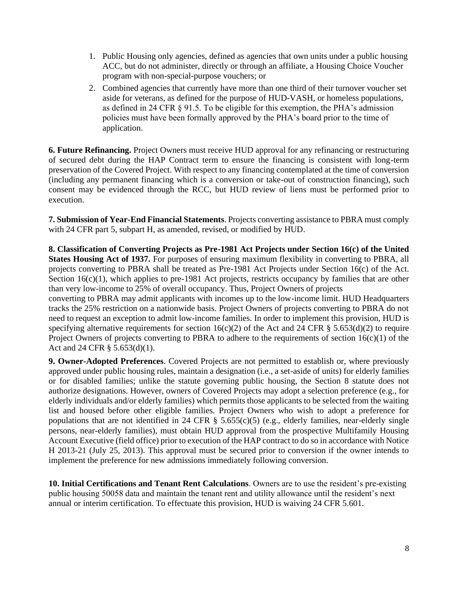- 1. Public Housing only agencies, defined as agencies that own units under a public housing ACC, but do not administer, directly or through an affiliate, a Housing Choice Voucher program with non-special-purpose vouchers; or
- 2. Combined agencies that currently have more than one third of their turnover voucher set aside for veterans, as defined for the purpose of HUD-VASH, or homeless populations, as defined in 24 CFR § 91.5. To be eligible for this exemption, the PHA's admission policies must have been formally approved by the PHA's board prior to the time of application.

**6. Future Refinancing.** Project Owners must receive HUD approval for any refinancing or restructuring of secured debt during the HAP Contract term to ensure the financing is consistent with long-term preservation of the Covered Project. With respect to any financing contemplated at the time of conversion (including any permanent financing which is a conversion or take-out of construction financing), such consent may be evidenced through the RCC, but HUD review of liens must be performed prior to execution.

**7. Submission of Year-End Financial Statements**. Projects converting assistance to PBRA must comply with 24 CFR part 5, subpart H, as amended, revised, or modified by HUD.

**8. Classification of Converting Projects as Pre-1981 Act Projects under Section 16(c) of the United States Housing Act of 1937.** For purposes of ensuring maximum flexibility in converting to PBRA, all projects converting to PBRA shall be treated as Pre-1981 Act Projects under Section 16(c) of the Act. Section  $16(c)(1)$ , which applies to pre-1981 Act projects, restricts occupancy by families that are other than very low-income to 25% of overall occupancy. Thus, Project Owners of projects

converting to PBRA may admit applicants with incomes up to the low-income limit. HUD Headquarters tracks the 25% restriction on a nationwide basis. Project Owners of projects converting to PBRA do not need to request an exception to admit low-income families. In order to implement this provision, HUD is specifying alternative requirements for section  $16(c)(2)$  of the Act and 24 CFR § 5.653(d)(2) to require Project Owners of projects converting to PBRA to adhere to the requirements of section  $16(c)(1)$  of the Act and 24 CFR § 5.653(d)(1).

**9. Owner-Adopted Preferences**. Covered Projects are not permitted to establish or, where previously approved under public housing rules, maintain a designation (i.e., a set-aside of units) for elderly families or for disabled families; unlike the statute governing public housing, the Section 8 statute does not authorize designations. However, owners of Covered Projects may adopt a selection preference (e.g., for elderly individuals and/or elderly families) which permits those applicants to be selected from the waiting list and housed before other eligible families. Project Owners who wish to adopt a preference for populations that are not identified in 24 CFR  $\S$  5.655(c)(5) (e.g., elderly families, near-elderly single persons, near-elderly families), must obtain HUD approval from the prospective Multifamily Housing Account Executive (field office) prior to execution of the HAP contract to do so in accordance with Notice H 2013-21 (July 25, 2013). This approval must be secured prior to conversion if the owner intends to implement the preference for new admissions immediately following conversion.

**10. Initial Certifications and Tenant Rent Calculations**. Owners are to use the resident's pre-existing public housing 50058 data and maintain the tenant rent and utility allowance until the resident's next annual or interim certification. To effectuate this provision, HUD is waiving 24 CFR 5.601.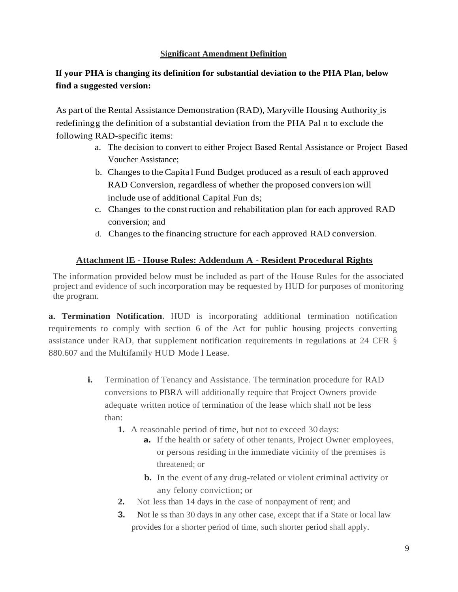## **Significant Amendment Definition**

# **If your PHA is changing its definition for substantial deviation to the PHA Plan, below find a suggested version:**

As part of the Rental Assistance Demonstration (RAD), Maryville Housing Authority is redefiningg the definition of a substantial deviation from the PHA Pal n to exclude the following RAD-specific items:

- a. The decision to convert to either Project Based Rental Assistance or Project Based Voucher Assistance;
- b. Changes to the Capita l Fund Budget produced as a result of each approved RAD Conversion, regardless of whether the proposed conversion will include use of additional Capital Fun ds;
- c. Changes to the construction and rehabilitation plan for each approved RAD conversion; and
- d. Changes to the financing structure for each approved RAD conversion.

## **Attachment lE - House Rules: Addendum A - Resident Procedural Rights**

The information provided below must be included as part of the House Rules for the associated project and evidence of such incorporation may be requested by HUD for purposes of monitoring the program.

**a. Termination Notification.** HUD is incorporating additional termination notification requirements to comply with section 6 of the Act for public housing projects converting assistance under RAD, that supplement notification requirements in regulations at 24 CFR § 880.607 and the Multifamily HUD Mode l Lease.

- **i.** Termination of Tenancy and Assistance*.* The termination procedure for RAD conversions to PBRA will additionally require that Project Owners provide adequate written notice of termination of the lease which shall not be less than:
	- **1.** A reasonable period of time, but not to exceed 30 days:
		- **a.** If the health or safety of other tenants, Project Owner employees, or persons residing in the immediate vicinity of the premises is threatened; or
		- **b.** In the event of any drug-related or violent criminal activity or any felony conviction; or
	- **2.** Not less than 14 days in the case of nonpayment of rent; and
	- **3.** Not le ss than 30 days in any other case, except that if a State or local law provides for a shorter period of time, such shorter period shall apply.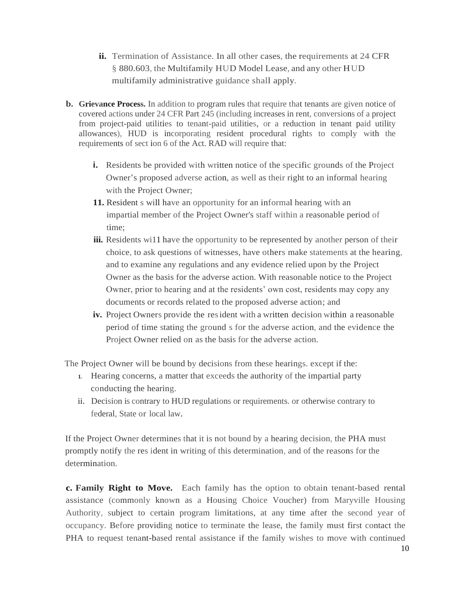- **ii.** Termination of Assistance. In all other cases, the requirements at 24 CFR § 880.603, the Multifamily HUD Model Lease, and any other HUD multifamily administrative guidance shall apply.
- **b. Grievance Process.** In addition to program rules that require that tenants are given notice of covered actions under 24 CFR Part 245 (including increases in rent, conversions of a project from project-paid utilities to tenant-paid utilities, or a reduction in tenant paid utility allowances), HUD is incorporating resident procedural rights to comply with the requirements of sect ion 6 of the Act. RAD will require that:
	- **i.** Residents be provided with written notice of the specific grounds of the Project Owner's proposed adverse action, as well as their right to an informal hearing with the Project Owner;
	- **11.** Resident s will have an opportunity for an informal hearing with an impartial member of the Project Owner's staff within a reasonable period of time;
	- **iii.** Residents will have the opportunity to be represented by another person of their choice, to ask questions of witnesses, have others make statements at the hearing, and to examine any regulations and any evidence relied upon by the Project Owner as the basis for the adverse action. With reasonable notice to the Project Owner, prior to hearing and at the residents' own cost, residents may copy any documents or records related to the proposed adverse action; and
	- **iv.** Project Owners provide the resident with a written decision within a reasonable period of time stating the ground s for the adverse action, and the evidence the Project Owner relied on as the basis for the adverse action.

The Project Owner will be bound by decisions from these hearings. except if the:

- **1.** Hearing concerns, a matter that exceeds the authority of the impartial party conducting the hearing.
- ii. Decision is contrary to HUD regulations or requirements. or otherwise contrary to federal, State or local law.

If the Project Owner determines that it is not bound by a hearing decision, the PHA must promptly notify the res ident in writing of this determination, and of the reasons for the determination.

**c. Family Right to Move.** Each family has the option to obtain tenant-based rental assistance (commonly known as a Housing Choice Voucher) from Maryville Housing Authority, subject to certain program limitations, at any time after the second year of occupancy. Before providing notice to terminate the lease, the family must first contact the PHA to request tenant-based rental assistance if the family wishes to move with continued